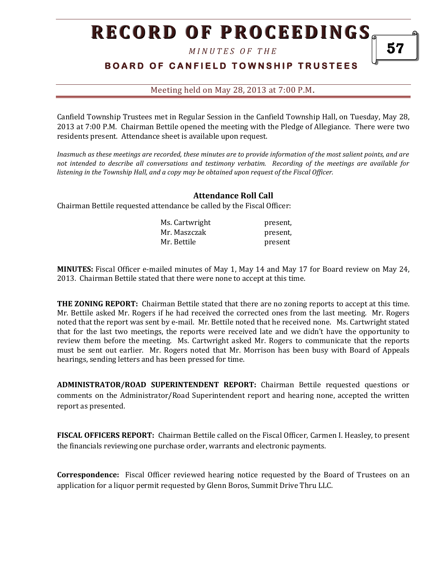*M I N U T E S O F T H E* 

## **BOARD OF CANFIELD TOWNSHIP TRUSTEES**

Meeting held on May 28, 2013 at 7:00 P.M**.**

Canfield Township Trustees met in Regular Session in the Canfield Township Hall, on Tuesday, May 28, 2013 at 7:00 P.M. Chairman Bettile opened the meeting with the Pledge of Allegiance. There were two residents present. Attendance sheet is available upon request.

*Inasmuch as these meetings are recorded, these minutes are to provide information of the most salient points, and are not intended to describe all conversations and testimony verbatim. Recording of the meetings are available for listening in the Township Hall, and a copy may be obtained upon request of the Fiscal Officer.* 

### **Attendance Roll Call**

Chairman Bettile requested attendance be called by the Fiscal Officer:

| Ms. Cartwright | present, |
|----------------|----------|
| Mr. Maszczak   | present, |
| Mr. Bettile    | present  |

**MINUTES:** Fiscal Officer e-mailed minutes of May 1, May 14 and May 17 for Board review on May 24, 2013. Chairman Bettile stated that there were none to accept at this time.

**THE ZONING REPORT:** Chairman Bettile stated that there are no zoning reports to accept at this time. Mr. Bettile asked Mr. Rogers if he had received the corrected ones from the last meeting. Mr. Rogers noted that the report was sent by e-mail. Mr. Bettile noted that he received none. Ms. Cartwright stated that for the last two meetings, the reports were received late and we didn't have the opportunity to review them before the meeting. Ms. Cartwright asked Mr. Rogers to communicate that the reports must be sent out earlier. Mr. Rogers noted that Mr. Morrison has been busy with Board of Appeals hearings, sending letters and has been pressed for time.

**ADMINISTRATOR/ROAD SUPERINTENDENT REPORT:** Chairman Bettile requested questions or comments on the Administrator/Road Superintendent report and hearing none, accepted the written report as presented.

**FISCAL OFFICERS REPORT:** Chairman Bettile called on the Fiscal Officer, Carmen I. Heasley, to present the financials reviewing one purchase order, warrants and electronic payments.

**Correspondence:** Fiscal Officer reviewed hearing notice requested by the Board of Trustees on an application for a liquor permit requested by Glenn Boros, Summit Drive Thru LLC.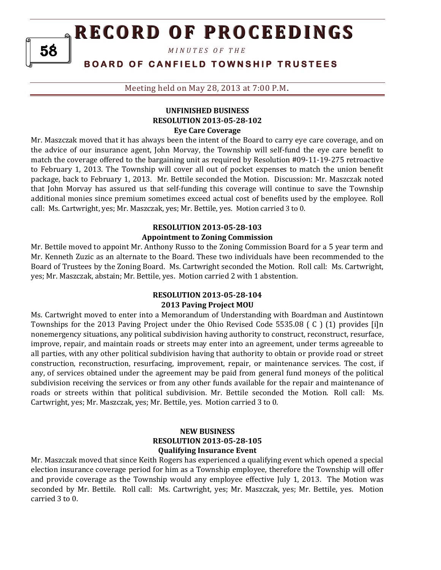*M I N U T E S O F T H E* 

### **BOARD OF CANFIELD TOWNSHIP TRUSTEES**

Meeting held on May 28, 2013 at 7:00 P.M**.**

### **UNFINISHED BUSINESS RESOLUTION 2013-05-28-102 Eye Care Coverage**

Mr. Maszczak moved that it has always been the intent of the Board to carry eye care coverage, and on the advice of our insurance agent, John Morvay, the Township will self-fund the eye care benefit to match the coverage offered to the bargaining unit as required by Resolution #09-11-19-275 retroactive to February 1, 2013. The Township will cover all out of pocket expenses to match the union benefit package, back to February 1, 2013. Mr. Bettile seconded the Motion. Discussion: Mr. Maszczak noted that John Morvay has assured us that self-funding this coverage will continue to save the Township additional monies since premium sometimes exceed actual cost of benefits used by the employee. Roll call: Ms. Cartwright, yes; Mr. Maszczak, yes; Mr. Bettile, yes. Motion carried 3 to 0.

### **RESOLUTION 2013-05-28-103 Appointment to Zoning Commission**

Mr. Bettile moved to appoint Mr. Anthony Russo to the Zoning Commission Board for a 5 year term and Mr. Kenneth Zuzic as an alternate to the Board. These two individuals have been recommended to the Board of Trustees by the Zoning Board. Ms. Cartwright seconded the Motion. Roll call: Ms. Cartwright, yes; Mr. Maszczak, abstain; Mr. Bettile, yes. Motion carried 2 with 1 abstention.

### **RESOLUTION 2013-05-28-104 2013 Paving Project MOU**

Ms. Cartwright moved to enter into a Memorandum of Understanding with Boardman and Austintown Townships for the 2013 Paving Project under the Ohio Revised Code 5535.08 ( C ) (1) provides [i]n nonemergency situations, any political subdivision having authority to construct, reconstruct, resurface, improve, repair, and maintain roads or streets may enter into an agreement, under terms agreeable to all parties, with any other political subdivision having that authority to obtain or provide road or street construction, reconstruction, resurfacing, improvement, repair, or maintenance services. The cost, if any, of services obtained under the agreement may be paid from general fund moneys of the political subdivision receiving the services or from any other funds available for the repair and maintenance of roads or streets within that political subdivision. Mr. Bettile seconded the Motion. Roll call: Ms. Cartwright, yes; Mr. Maszczak, yes; Mr. Bettile, yes. Motion carried 3 to 0.

#### **NEW BUSINESS RESOLUTION 2013-05-28-105 Qualifying Insurance Event**

Mr. Maszczak moved that since Keith Rogers has experienced a qualifying event which opened a special election insurance coverage period for him as a Township employee, therefore the Township will offer and provide coverage as the Township would any employee effective July 1, 2013. The Motion was seconded by Mr. Bettile. Roll call: Ms. Cartwright, yes; Mr. Maszczak, yes; Mr. Bettile, yes. Motion carried 3 to 0.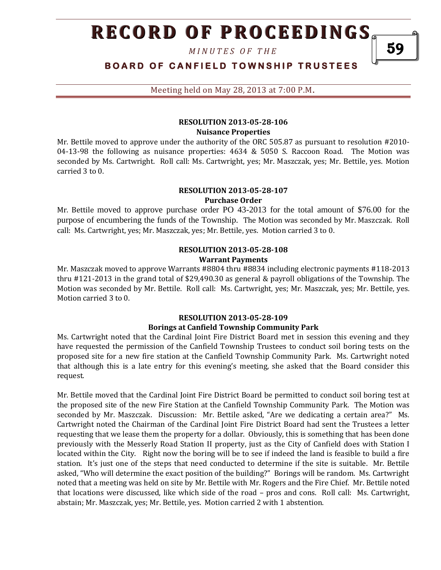*M I N U T E S O F T H E* 

**BOARD OF CANFIELD TOWNSHIP TRUSTEES** 

Meeting held on May 28, 2013 at 7:00 P.M**.**

### **RESOLUTION 2013-05-28-106 Nuisance Properties**

Mr. Bettile moved to approve under the authority of the ORC 505.87 as pursuant to resolution #2010- 04-13-98 the following as nuisance properties: 4634 & 5050 S. Raccoon Road. The Motion was seconded by Ms. Cartwright. Roll call: Ms. Cartwright, yes; Mr. Maszczak, yes; Mr. Bettile, yes. Motion carried 3 to 0.

#### **RESOLUTION 2013-05-28-107 Purchase Order**

Mr. Bettile moved to approve purchase order PO 43-2013 for the total amount of \$76.00 for the purpose of encumbering the funds of the Township. The Motion was seconded by Mr. Maszczak. Roll call: Ms. Cartwright, yes; Mr. Maszczak, yes; Mr. Bettile, yes. Motion carried 3 to 0.

#### **RESOLUTION 2013-05-28-108 Warrant Payments**

Mr. Maszczak moved to approve Warrants #8804 thru #8834 including electronic payments #118-2013 thru #121-2013 in the grand total of \$29,490.30 as general & payroll obligations of the Township. The Motion was seconded by Mr. Bettile. Roll call: Ms. Cartwright, yes; Mr. Maszczak, yes; Mr. Bettile, yes. Motion carried 3 to 0.

### **RESOLUTION 2013-05-28-109**

### **Borings at Canfield Township Community Park**

Ms. Cartwright noted that the Cardinal Joint Fire District Board met in session this evening and they have requested the permission of the Canfield Township Trustees to conduct soil boring tests on the proposed site for a new fire station at the Canfield Township Community Park. Ms. Cartwright noted that although this is a late entry for this evening's meeting, she asked that the Board consider this request.

Mr. Bettile moved that the Cardinal Joint Fire District Board be permitted to conduct soil boring test at the proposed site of the new Fire Station at the Canfield Township Community Park. The Motion was seconded by Mr. Maszczak. Discussion: Mr. Bettile asked, "Are we dedicating a certain area?" Ms. Cartwright noted the Chairman of the Cardinal Joint Fire District Board had sent the Trustees a letter requesting that we lease them the property for a dollar. Obviously, this is something that has been done previously with the Messerly Road Station II property, just as the City of Canfield does with Station I located within the City. Right now the boring will be to see if indeed the land is feasible to build a fire station. It's just one of the steps that need conducted to determine if the site is suitable. Mr. Bettile asked, "Who will determine the exact position of the building?" Borings will be random. Ms. Cartwright noted that a meeting was held on site by Mr. Bettile with Mr. Rogers and the Fire Chief. Mr. Bettile noted that locations were discussed, like which side of the road – pros and cons. Roll call: Ms. Cartwright, abstain; Mr. Maszczak, yes; Mr. Bettile, yes. Motion carried 2 with 1 abstention.